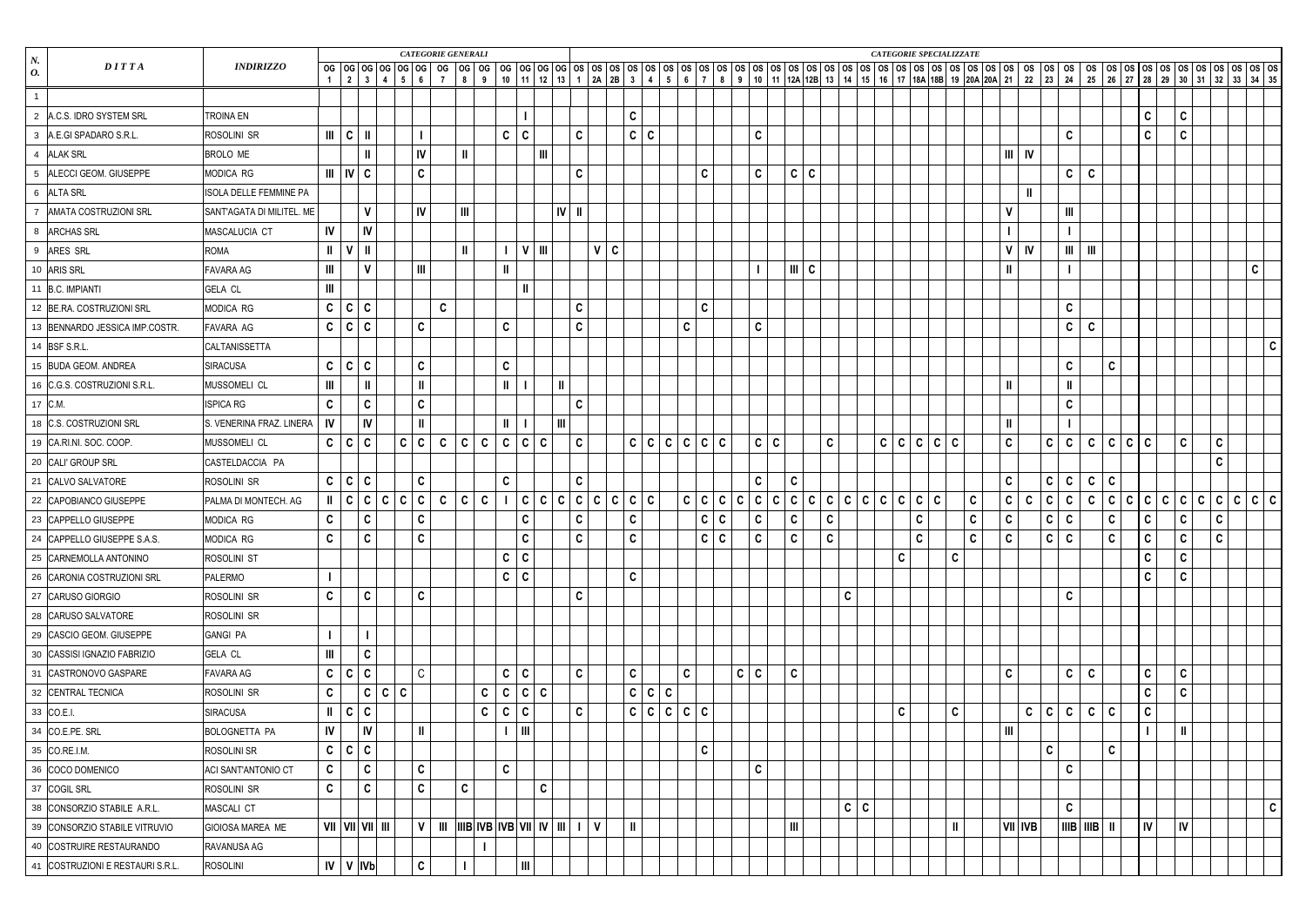| $N_{\rm \cdot}$                     |                           |               |                         |                              |              |                                    | <b>CATEGORIE GENERALI</b> |              |              |              |                                                                              |               |              |              |              |              |             |              |                             |              |              |              |              |              |              |            |             | <b>CATEGORIE SPECIALIZZATE</b> |              |              |             |                      |                             |              |                  |              |    |              |               |              |         |              |              |
|-------------------------------------|---------------------------|---------------|-------------------------|------------------------------|--------------|------------------------------------|---------------------------|--------------|--------------|--------------|------------------------------------------------------------------------------|---------------|--------------|--------------|--------------|--------------|-------------|--------------|-----------------------------|--------------|--------------|--------------|--------------|--------------|--------------|------------|-------------|--------------------------------|--------------|--------------|-------------|----------------------|-----------------------------|--------------|------------------|--------------|----|--------------|---------------|--------------|---------|--------------|--------------|
| DITTA<br>$\boldsymbol{o}$ .         | <b>INDIRIZZO</b>          |               |                         |                              |              |                                    |                           |              |              |              |                                                                              |               |              |              |              |              |             |              |                             |              |              |              |              |              |              |            |             |                                |              |              |             |                      |                             |              |                  |              |    |              |               |              |         |              |              |
|                                     |                           |               |                         |                              |              |                                    |                           |              |              |              |                                                                              |               |              |              |              |              |             |              |                             |              |              |              |              |              |              |            |             |                                |              |              |             |                      |                             |              |                  |              |    |              |               |              |         |              |              |
| 2 A.C.S. IDRO SYSTEM SRL            | <b>TROINA EN</b>          |               |                         |                              |              |                                    |                           |              |              |              |                                                                              |               |              |              | $\mathbf{C}$ |              |             |              |                             |              |              |              |              |              |              |            |             |                                |              |              |             |                      |                             |              |                  |              |    | $\mathbf{C}$ | $\mathbf{C}$  |              |         |              |              |
| 3 A.E.GI SPADARO S.R.L.             | ROSOLINI SR               |               | $   $ $ $ $ $ $ $       |                              |              |                                    |                           |              |              | $\mathbf c$  | $\mathbf{C}$                                                                 |               | C            |              |              | C   C        |             |              |                             |              | $\mathbf C$  |              |              |              |              |            |             |                                |              |              |             |                      | $\mathbf c$                 |              |                  |              |    | $\mathbf{C}$ | $\mathbf{C}$  |              |         |              |              |
| 4 ALAK SRL                          | <b>BROLO ME</b>           |               |                         |                              |              | IV                                 |                           | $\mathbf{H}$ |              |              | $\mathbf{I}$                                                                 |               |              |              |              |              |             |              |                             |              |              |              |              |              |              |            |             |                                |              |              |             | $\mathbf{III}$<br>IV |                             |              |                  |              |    |              |               |              |         |              |              |
| 5 ALECCI GEOM. GIUSEPPE             | MODICA RG                 |               | $III$ $IV$ $C$          |                              |              | $\mathbf c$                        |                           |              |              |              |                                                                              |               | C            |              |              |              |             | $\mathbf{C}$ |                             |              | $\mathbf C$  |              | C C          |              |              |            |             |                                |              |              |             |                      |                             | $\mathbf{C}$ | $\mathbf{C}$     |              |    |              |               |              |         |              |              |
| 6 ALTA SRL                          | ISOLA DELLE FEMMINE PA    |               |                         |                              |              |                                    |                           |              |              |              |                                                                              |               |              |              |              |              |             |              |                             |              |              |              |              |              |              |            |             |                                |              |              |             |                      |                             |              |                  |              |    |              |               |              |         |              |              |
| 7 AMATA COSTRUZIONI SRL             | SANT'AGATA DI MILITEL. ME |               |                         | $\mathbf{V}$                 |              | IV                                 |                           | Ш            |              |              |                                                                              |               | $IV$   II    |              |              |              |             |              |                             |              |              |              |              |              |              |            |             |                                |              |              |             | $\mathsf{V}$         |                             | Ш            |                  |              |    |              |               |              |         |              |              |
| 8 ARCHAS SRL                        | MASCALUCIA CT             | IV            |                         | IV                           |              |                                    |                           |              |              |              |                                                                              |               |              |              |              |              |             |              |                             |              |              |              |              |              |              |            |             |                                |              |              |             |                      |                             |              |                  |              |    |              |               |              |         |              |              |
| 9 ARES SRL                          | <b>ROMA</b>               | $\mathbf{I}$  |                         |                              |              |                                    |                           | $\mathbf{I}$ |              |              | $V$   III                                                                    |               |              | V C          |              |              |             |              |                             |              |              |              |              |              |              |            |             |                                |              |              |             | V<br><b>IV</b>       |                             | Ш            | $\mathbf{m}$     |              |    |              |               |              |         |              |              |
| 10 ARIS SRL                         | FAVARA AG                 | Ш             |                         | $\mathbf v$                  |              | $\ensuremath{\mathsf{III}}\xspace$ |                           |              |              |              |                                                                              |               |              |              |              |              |             |              |                             |              |              |              | $III$ C      |              |              |            |             |                                |              |              |             | $\mathbf{II}$        |                             |              |                  |              |    |              |               |              |         | $\mathbf{C}$ |              |
| 11 B.C. IMPIANTI                    | <b>GELA CL</b>            | Ш             |                         |                              |              |                                    |                           |              |              |              | $\mathbf{II}$                                                                |               |              |              |              |              |             |              |                             |              |              |              |              |              |              |            |             |                                |              |              |             |                      |                             |              |                  |              |    |              |               |              |         |              |              |
| 12 BE.RA. COSTRUZIONI SRL           | MODICA RG                 |               | C   C   C               |                              |              |                                    | $\mathbf{C}$              |              |              |              |                                                                              |               | C            |              |              |              |             | $\mathbf{C}$ |                             |              |              |              |              |              |              |            |             |                                |              |              |             |                      | $\mathbf C$                 |              |                  |              |    |              |               |              |         |              |              |
| 13 BENNARDO JESSICA IMP.COSTR.      | FAVARA AG                 |               | C   C   C               |                              |              | $\mathbf c$                        |                           |              |              | $\mathbf C$  |                                                                              |               | $\mathbf{C}$ |              |              |              |             | $\mathbf{C}$ |                             |              | $\mathbf C$  |              |              |              |              |            |             |                                |              |              |             |                      |                             | $\mathbf{C}$ | $\mathbf{c}$     |              |    |              |               |              |         |              |              |
| 14 BSF S.R.L.                       | CALTANISSETTA             |               |                         |                              |              |                                    |                           |              |              |              |                                                                              |               |              |              |              |              |             |              |                             |              |              |              |              |              |              |            |             |                                |              |              |             |                      |                             |              |                  |              |    |              |               |              |         |              | $\mathbf{C}$ |
| 15 BUDA GEOM. ANDREA                | <b>SIRACUSA</b>           |               | C   C   C               |                              |              | $\mathbf c$                        |                           |              |              | $\mathbf C$  |                                                                              |               |              |              |              |              |             |              |                             |              |              |              |              |              |              |            |             |                                |              |              |             |                      | $\mathbf c$                 |              |                  | $\mathbf c$  |    |              |               |              |         |              |              |
| 16 C.G.S. COSTRUZIONI S.R.L.        | MUSSOMELI CL              | Ш             |                         |                              |              | $\mathbf{I}$                       |                           |              |              | $\mathbf{I}$ |                                                                              | $\mathbf{II}$ |              |              |              |              |             |              |                             |              |              |              |              |              |              |            |             |                                |              |              |             | $\mathbf{I}$         | $\mathbf{I}$                |              |                  |              |    |              |               |              |         |              |              |
| 17 C.M.                             | <b>ISPICA RG</b>          | C             |                         | C                            |              | $\mathbf c$                        |                           |              |              |              |                                                                              |               | C            |              |              |              |             |              |                             |              |              |              |              |              |              |            |             |                                |              |              |             |                      | $\mathbf C$                 |              |                  |              |    |              |               |              |         |              |              |
| 18 C.S. COSTRUZIONI SRL             | S. VENERINA FRAZ. LINERA  | IV            |                         | IV                           |              | Ш                                  |                           |              |              |              |                                                                              | Ш             |              |              |              |              |             |              |                             |              |              |              |              |              |              |            |             |                                |              |              |             | $\mathbf{I}$         |                             |              |                  |              |    |              |               |              |         |              |              |
| 19 CA.RI.NI. SOC. COOP.             | MUSSOMELI CL              |               | C   C   C               |                              |              | C C                                | $\mathbf{C}$              | C C          |              | $\mathbf{C}$ | C C                                                                          |               | C            |              |              |              | C C C C C C |              |                             |              | C C          |              |              | $\mathbf{C}$ |              |            |             | C C C C C                      |              |              |             | $\mathbf{C}$         | $\mathsf{C}$<br>$\mathbf c$ |              | $\mathbf{C}$     | C C C        |    |              | $\mathbf{C}$  | $\mathbf{C}$ |         |              |              |
| 20 CALI' GROUP SRL                  | CASTELDACCIA PA           |               |                         |                              |              |                                    |                           |              |              |              |                                                                              |               |              |              |              |              |             |              |                             |              |              |              |              |              |              |            |             |                                |              |              |             |                      |                             |              |                  |              |    |              |               | $\mathbf{C}$ |         |              |              |
| 21 CALVO SALVATORE                  | ROSOLINI SR               |               | C   C                   | $\mathbf c$                  |              | $\mathbf c$                        |                           |              |              | $\mathbf{C}$ |                                                                              |               | C.           |              |              |              |             |              |                             |              | $\mathbf{C}$ |              | C            |              |              |            |             |                                |              |              |             | $\mathbf{C}$         | $\mathbf{C}$<br>$\mathbf c$ |              | $\mathbf{C}$     | $\mathbf c$  |    |              |               |              |         |              |              |
| 22 CAPOBIANCO GIUSEPPE              | PALMA DI MONTECH. AG      |               | c                       | $\mathbf{C}$<br>$\mathbf{C}$ | $\mathbf{C}$ | $\mathbf c$                        | $\mathbf{c}$              | C            | $\mathbf{C}$ |              | C C C                                                                        |               | C            | $\mathbf{C}$ | C C C        |              |             | C   C   C    |                             | $\mathbf{C}$ | $\mathbf c$  | $\mathbf{C}$ |              | C C C        | $\mathbf{C}$ |            |             | C C C C C                      |              | $\mathbf{C}$ |             | $\mathbf{C}$<br>C    | $\mathsf{C}$<br>C           |              | $\mathbf{C}$     | C            | C. |              | C C C C       |              | C C C C |              |              |
| 23 CAPPELLO GIUSEPPE                | MODICA RG                 | C             |                         | C                            |              | $\mathbf c$                        |                           |              |              |              | $\mathbf{C}$                                                                 |               | C            |              | $\mathbf c$  |              |             |              | $\mathsf{C}$<br>$\mathbf c$ |              | C            |              | C            | C            |              |            |             | C                              |              | $\mathbf c$  | $\mathbf C$ |                      | C<br>$\mathbf c$            |              |                  | $\mathbf c$  |    | $\mathbf{C}$ | $\mathbf{c}$  | $\mathbf C$  |         |              |              |
| $\vert$ 24 CAPPELLO GIUSEPPE S.A.S. | MODICA RG                 | $\mathbf{C}$  |                         | $\mathsf{C}$                 |              | $\mathbf C$                        |                           |              |              |              | $\mathsf{C}$                                                                 |               | $\mathbf{C}$ |              |              | $\mathsf{c}$ |             |              | c c                         |              | $\mathsf{C}$ |              | , $c1$       | $\mathbf{C}$ |              |            |             | $\mathbf{C}$                   |              | $\mathbf{C}$ | $\mathbf c$ |                      | $c \mid c$                  |              |                  | $\mathbf{C}$ |    | $\mathsf{C}$ | c             | $\mathbf{C}$ |         |              |              |
| 25 CARNEMOLLA ANTONINO              | <b>ROSOLINI ST</b>        |               |                         |                              |              |                                    |                           |              |              | $\mathbf c$  | c                                                                            |               |              |              |              |              |             |              |                             |              |              |              |              |              |              |            | $\mathbf C$ |                                | $\mathbf{C}$ |              |             |                      |                             |              |                  |              |    | $\mathbf{C}$ | $\mathbf{C}$  |              |         |              |              |
| 26 CARONIA COSTRUZIONI SRL          | PALERMO                   |               |                         |                              |              |                                    |                           |              |              | $\mathsf{C}$ | $\vert$ C                                                                    |               |              |              | $\mathbf{C}$ |              |             |              |                             |              |              |              |              |              |              |            |             |                                |              |              |             |                      |                             |              |                  |              |    | $\mathbf{C}$ | $\mathbf{C}$  |              |         |              |              |
| 27 CARUSO GIORGIO                   | ROSOLINI SR               | $\mathbf c$   |                         | $\mathbf{C}$                 |              | $\mathbf c$                        |                           |              |              |              |                                                                              |               | C.           |              |              |              |             |              |                             |              |              |              |              |              | C            |            |             |                                |              |              |             |                      |                             | $\mathbf c$  |                  |              |    |              |               |              |         |              |              |
| 28 CARUSO SALVATORE                 | ROSOLINI SR               |               |                         |                              |              |                                    |                           |              |              |              |                                                                              |               |              |              |              |              |             |              |                             |              |              |              |              |              |              |            |             |                                |              |              |             |                      |                             |              |                  |              |    |              |               |              |         |              |              |
| 29 CASCIO GEOM. GIUSEPPE            | <b>GANGI PA</b>           |               |                         |                              |              |                                    |                           |              |              |              |                                                                              |               |              |              |              |              |             |              |                             |              |              |              |              |              |              |            |             |                                |              |              |             |                      |                             |              |                  |              |    |              |               |              |         |              |              |
| 30 CASSISI IGNAZIO FABRIZIO         | <b>GELA CL</b>            | Ш             |                         | $\mathbf{C}$                 |              |                                    |                           |              |              |              |                                                                              |               |              |              |              |              |             |              |                             |              |              |              |              |              |              |            |             |                                |              |              |             |                      |                             |              |                  |              |    |              |               |              |         |              |              |
| 31 CASTRONOVO GASPARE               | FAVARA AG                 | $\mathbf{C}$  | C                       | $\mathbf c$                  |              | $\mathsf C$                        |                           |              |              | $\mathbf c$  | $\mathbf{C}$                                                                 |               | C            |              | $\mathbf{C}$ |              |             | $\mathbf{C}$ |                             | $C \mid C$   |              |              | $\mathbf{C}$ |              |              |            |             |                                |              |              |             | $\mathbf{C}$         |                             | $\mathbf{C}$ | $\mathbf{C}$     |              |    | $\mathbf{C}$ | $\mathbf{C}$  |              |         |              |              |
| 32 CENTRAL TECNICA                  | ROSOLINI SR               | $\mathbf c$   |                         | $\mathsf{C}$<br>$\mathbf{C}$ | $\mathbf c$  |                                    |                           |              | $\mathsf{C}$ | $\mathbf c$  | C C                                                                          |               |              |              |              |              | C   C   C   |              |                             |              |              |              |              |              |              |            |             |                                |              |              |             |                      |                             |              |                  |              |    | $\mathbf{C}$ | $\mathbf{C}$  |              |         |              |              |
| 33 CO.E.I.                          | <b>SIRACUSA</b>           | $\mathbf{II}$ | C   C                   |                              |              |                                    |                           |              | C            | $\mathbf c$  | C                                                                            |               | C.           |              |              |              | C C C C C   |              |                             |              |              |              |              |              |              |            | $\mathbf c$ |                                | $\mathbf{C}$ |              |             | C                    | $\mathbf{C}$                | $\mathbf c$  | $\mathbf{C}$     | $\mathbf c$  |    | $\mathsf{C}$ |               |              |         |              |              |
| 34 CO.E.PE. SRL                     | BOLOGNETTA PA             | IV            |                         | IV                           |              | Ш                                  |                           |              |              |              | Ш                                                                            |               |              |              |              |              |             |              |                             |              |              |              |              |              |              |            |             |                                |              |              |             | III                  |                             |              |                  |              |    |              | $\parallel$   |              |         |              |              |
| 35 CO.RE.I.M.                       | ROSOLINI SR               | $\mathbf{C}$  | c                       | $\mathbf{C}$                 |              |                                    |                           |              |              |              |                                                                              |               |              |              |              |              |             | $\mathbf{C}$ |                             |              |              |              |              |              |              |            |             |                                |              |              |             |                      | $\mathbf{C}$                |              |                  | $\mathbf c$  |    |              |               |              |         |              |              |
| 36 COCO DOMENICO                    | ACI SANT'ANTONIO CT       | $\mathbf c$   |                         | $\mathbf{C}$                 |              | $\mathbf c$                        |                           |              |              | $\mathbf C$  |                                                                              |               |              |              |              |              |             |              |                             |              | $\mathbf C$  |              |              |              |              |            |             |                                |              |              |             |                      | $\mathbf C$                 |              |                  |              |    |              |               |              |         |              |              |
| 37 COGIL SRL                        | ROSOLINI SR               | $\mathbf{C}$  |                         | $\mathbf{C}$                 |              | $\mathbf c$                        |                           | $\mathbf{C}$ |              |              |                                                                              | $\mathbf{C}$  |              |              |              |              |             |              |                             |              |              |              |              |              |              |            |             |                                |              |              |             |                      |                             |              |                  |              |    |              |               |              |         |              |              |
| 38 CONSORZIO STABILE A.R.L.         | MASCALI CT                |               |                         |                              |              |                                    |                           |              |              |              |                                                                              |               |              |              |              |              |             |              |                             |              |              |              |              |              |              | $c \mid c$ |             |                                |              |              |             |                      | $\mathbf C$                 |              |                  |              |    |              |               |              |         |              | $\mathbf{C}$ |
| 39 CONSORZIO STABILE VITRUVIO       | GIOIOSA MAREA ME          |               | $VII$ $VII$ $VII$ $III$ |                              |              | $\mathsf{V}$                       | $\mathbf{m}$              |              |              |              | $\vert III\vert B\vert IVB\vert IVB\vert VI\vert IV\vert IV\vert III\vert I$ |               |              | $\mathsf{V}$ | $\mathbf{I}$ |              |             |              |                             |              |              |              | Ш            |              |              |            |             |                                | Ш            |              |             | $ VII $ IVB $ $      |                             |              | IIIB   IIIB   II |              |    | V            | $\mathsf{IV}$ |              |         |              |              |
| 40 COSTRUIRE RESTAURANDO            | RAVANUSA AG               |               |                         |                              |              |                                    |                           |              |              |              |                                                                              |               |              |              |              |              |             |              |                             |              |              |              |              |              |              |            |             |                                |              |              |             |                      |                             |              |                  |              |    |              |               |              |         |              |              |
| 41 COSTRUZIONI E RESTAURI S.R.L.    | <b>ROSOLINI</b>           |               | $IV$   $V$   $V$   $V$  |                              |              | $\mathbf C$                        |                           |              |              |              | Ш                                                                            |               |              |              |              |              |             |              |                             |              |              |              |              |              |              |            |             |                                |              |              |             |                      |                             |              |                  |              |    |              |               |              |         |              |              |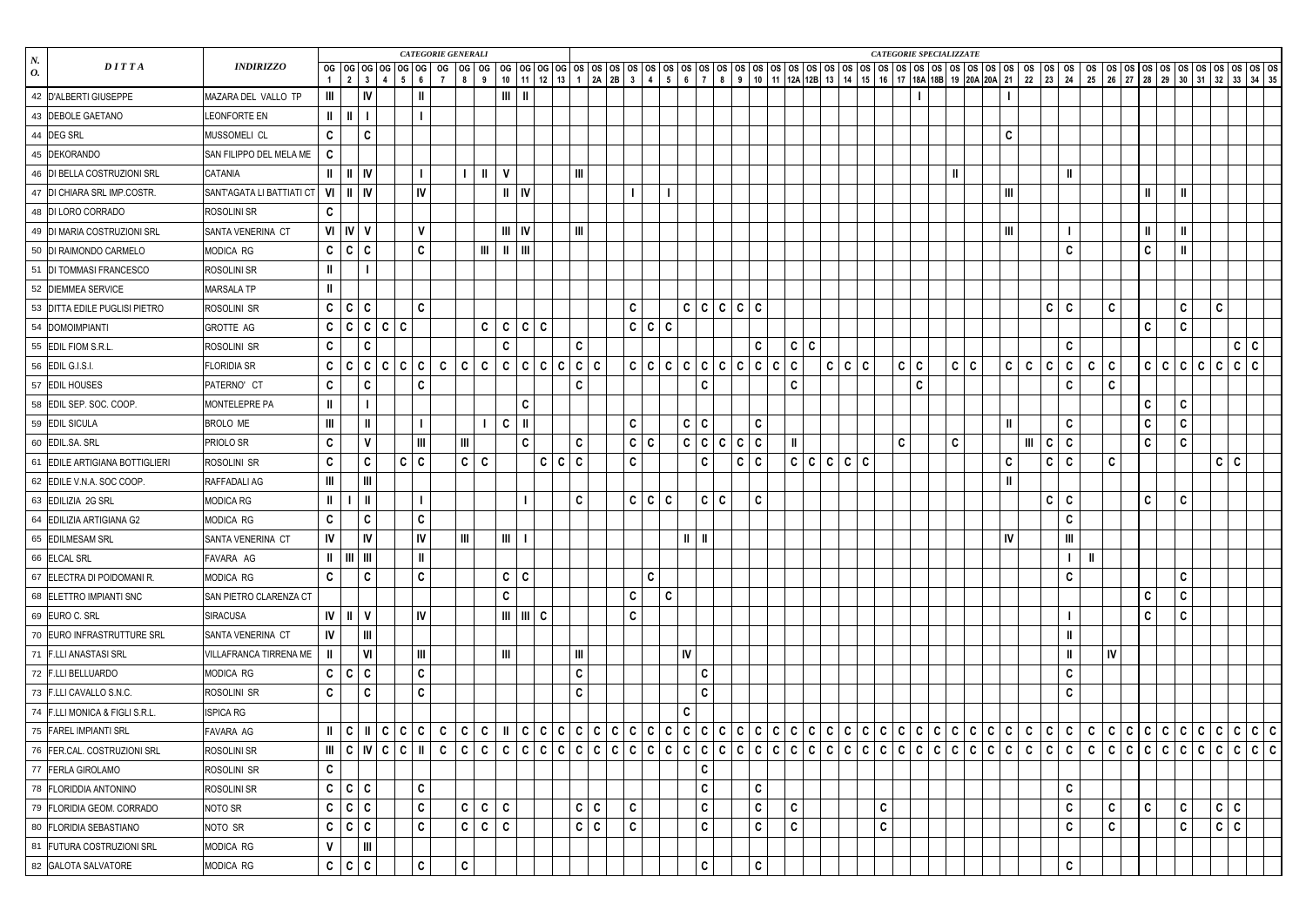|                        |                                |                           |                                     |                    |                                                             |                                                                                           |                   | <b>CATEGORIE GENERALI</b> |                |              |                                     |              |              |                              |            |                     |              |                           |               |                              |              |              |              |   |         |              |             | <b>CATEGORIE SPECIALIZZATE</b> |       |                         |              |              |                                    |              |              |              |                                                           |              |              |            |  |
|------------------------|--------------------------------|---------------------------|-------------------------------------|--------------------|-------------------------------------------------------------|-------------------------------------------------------------------------------------------|-------------------|---------------------------|----------------|--------------|-------------------------------------|--------------|--------------|------------------------------|------------|---------------------|--------------|---------------------------|---------------|------------------------------|--------------|--------------|--------------|---|---------|--------------|-------------|--------------------------------|-------|-------------------------|--------------|--------------|------------------------------------|--------------|--------------|--------------|-----------------------------------------------------------|--------------|--------------|------------|--|
| $\boldsymbol{N}$<br>0. | DITTA                          | <b>INDIRIZZO</b>          |                                     |                    |                                                             |                                                                                           |                   |                           |                |              |                                     |              |              |                              |            |                     |              |                           |               |                              |              |              |              |   |         |              |             |                                |       |                         |              |              |                                    |              |              |              |                                                           |              |              |            |  |
|                        | 42   D'ALBERTI GIUSEPPE        | MAZARA DEL VALLO TP       | Ш                                   |                    | IV                                                          |                                                                                           | $\mathbf{I}$      |                           |                |              |                                     |              |              |                              |            |                     |              |                           |               |                              |              |              |              |   |         |              |             |                                |       |                         |              |              |                                    |              |              |              |                                                           |              |              |            |  |
|                        | 43 DEBOLE GAETANO              | <b>LEONFORTE EN</b>       | $\parallel$ $\parallel$ $\parallel$ |                    |                                                             |                                                                                           |                   |                           |                |              |                                     |              |              |                              |            |                     |              |                           |               |                              |              |              |              |   |         |              |             |                                |       |                         |              |              |                                    |              |              |              |                                                           |              |              |            |  |
|                        | 44 DEG SRL                     | MUSSOMELI CL              | C                                   |                    | C                                                           |                                                                                           |                   |                           |                |              |                                     |              |              |                              |            |                     |              |                           |               |                              |              |              |              |   |         |              |             |                                |       | $\mathbf C$             |              |              |                                    |              |              |              |                                                           |              |              |            |  |
|                        | 45 DEKORANDO                   | SAN FILIPPO DEL MELA ME   | $\mathbf{C}$                        |                    |                                                             |                                                                                           |                   |                           |                |              |                                     |              |              |                              |            |                     |              |                           |               |                              |              |              |              |   |         |              |             |                                |       |                         |              |              |                                    |              |              |              |                                                           |              |              |            |  |
|                        | 46 DI BELLA COSTRUZIONI SRL    | CATANIA                   | H.                                  |                    | $     $ $  $                                                |                                                                                           |                   |                           |                | $\mathbf{I}$ | $\mathbf{V}$                        |              |              | $\mathbf{III}$               |            |                     |              |                           |               |                              |              |              |              |   |         |              |             |                                |       |                         |              |              |                                    |              |              |              |                                                           |              |              |            |  |
|                        | 47 DI CHIARA SRL IMP.COSTR.    | SANT'AGATA LI BATTIATI CT |                                     | $VI$   $II$   $IV$ |                                                             |                                                                                           | IV                |                           |                |              | $   \cdot   $                       |              |              |                              |            |                     |              |                           |               |                              |              |              |              |   |         |              |             |                                |       | Ш                       |              |              |                                    |              |              | $\mathbf{I}$ | $\parallel$                                               |              |              |            |  |
|                        | 48 DI LORO CORRADO             | <b>ROSOLINI SR</b>        | C                                   |                    |                                                             |                                                                                           |                   |                           |                |              |                                     |              |              |                              |            |                     |              |                           |               |                              |              |              |              |   |         |              |             |                                |       |                         |              |              |                                    |              |              |              |                                                           |              |              |            |  |
|                        | 49 DI MARIA COSTRUZIONI SRL    | SANTA VENERINA CT         |                                     | $VI$ $IV$ $V$      |                                                             |                                                                                           | $\mathbf{V}$      |                           |                |              | $III$ $IV$                          |              |              | $\mathop{\rm III}$           |            |                     |              |                           |               |                              |              |              |              |   |         |              |             |                                |       | III                     |              |              |                                    |              |              | $\mathbf{I}$ | $\mathbf{II}$                                             |              |              |            |  |
|                        | 50 DI RAIMONDO CARMELO         | MODICA RG                 |                                     | C   C   C          |                                                             |                                                                                           | $\mathbf c$       |                           |                | $\mathbf{m}$ | $\parallel$ $\parallel$ $\parallel$ |              |              |                              |            |                     |              |                           |               |                              |              |              |              |   |         |              |             |                                |       |                         |              |              | $\mathbf c$                        |              |              | $\mathbf{C}$ | Ш.                                                        |              |              |            |  |
|                        | 51   DI TOMMASI FRANCESCO      | <b>ROSOLINI SR</b>        | Ш                                   |                    |                                                             |                                                                                           |                   |                           |                |              |                                     |              |              |                              |            |                     |              |                           |               |                              |              |              |              |   |         |              |             |                                |       |                         |              |              |                                    |              |              |              |                                                           |              |              |            |  |
|                        | 52 DIEMMEA SERVICE             | MARSALA TP                |                                     |                    |                                                             |                                                                                           |                   |                           |                |              |                                     |              |              |                              |            |                     |              |                           |               |                              |              |              |              |   |         |              |             |                                |       |                         |              |              |                                    |              |              |              |                                                           |              |              |            |  |
|                        | 53 DITTA EDILE PUGLISI PIETRO  | <b>ROSOLINI SR</b>        |                                     | C   C   C          |                                                             |                                                                                           | $\mathbf c$       |                           |                |              |                                     |              |              |                              |            | $\mathbf C$         |              |                           |               | C C C C C                    |              |              |              |   |         |              |             |                                |       |                         |              | $\mathsf{C}$ | $\mathbf c$                        |              | $\mathbf c$  |              | $\mathbf{C}$                                              |              | $\mathbf{C}$ |            |  |
|                        | 54 DOMOIMPIANTI                | GROTTE AG                 |                                     |                    |                                                             | C   C   C   C                                                                             | C                 |                           |                | $\mathsf{C}$ | C   C   C                           |              |              |                              |            | C   C   C           |              |                           |               |                              |              |              |              |   |         |              |             |                                |       |                         |              |              |                                    |              |              | $\mathbf{C}$ | $\mathbf{C}$                                              |              |              |            |  |
|                        | 55 EDIL FIOM S.R.L             | ROSOLINI SR               | C                                   |                    | $\mathbf c$                                                 |                                                                                           |                   |                           |                |              | C                                   |              |              | $\mathbf{C}$                 |            |                     |              |                           |               |                              | C            |              | $\mathbf{c}$ | C |         |              |             |                                |       |                         |              |              | $\mathbf C$                        |              |              |              |                                                           |              |              | $c \mid c$ |  |
|                        | 56 EDIL G.I.S.I.               | <b>FLORIDIA SR</b>        |                                     |                    |                                                             | C   C   C   C                                                                             | $\mathbf{C}$<br>C | $\mathbf{C}$              | $\mathbf c$    | $\mathbf{C}$ | $\mathbf{c}$                        | C C          |              | $\mathsf{C}$<br>$\mathbf{C}$ | ∣C.        |                     |              | C C C C C                 |               | $\mathbf{C}$<br>$\mathbf{C}$ | $\mathbf{C}$ | $\mathbf{C}$ | ∣C.          |   | c   c   | $\mathbf{c}$ |             | $\mathsf{C}$<br>$\mathsf{C}$   | C   C | $\mathbf{C}$            | $\mathbf{C}$ | $\mathbf{C}$ | C                                  | $\mathbf{c}$ | $\mathbf c$  |              | C   C   C                                                 | $\mathbf{C}$ | $\mathsf{C}$ | C C        |  |
|                        | 57 EDIL HOUSES                 | PATERNO' CT               | C                                   |                    | C                                                           |                                                                                           | $\mathbf c$       |                           |                |              |                                     |              |              | C                            |            |                     |              |                           | $\mathbf c$   |                              |              |              | C            |   |         |              |             | $\mathbf c$                    |       |                         |              |              | C                                  |              | $\mathbf c$  |              |                                                           |              |              |            |  |
|                        | 58 EDIL SEP. SOC. COOP.        | MONTELEPRE PA             | Ш                                   |                    |                                                             |                                                                                           |                   |                           |                |              |                                     | $\mathbf{C}$ |              |                              |            |                     |              |                           |               |                              |              |              |              |   |         |              |             |                                |       |                         |              |              |                                    |              |              | $\mathbf{C}$ | $\mathbf{C}$                                              |              |              |            |  |
|                        | 59 EDIL SICULA                 | <b>BROLO ME</b>           | Ш                                   |                    |                                                             |                                                                                           |                   |                           |                |              | $\mathbf{C}$                        | - II         |              |                              |            | $\mathbf C$         |              |                           | C C           |                              | $\mathbf c$  |              |              |   |         |              |             |                                |       | $\mathbf{I}$            |              |              | $\mathbf c$                        |              |              | C            | $\mathbf{C}$                                              |              |              |            |  |
|                        | 60 EDIL.SA. SRL                | <b>PRIOLO SR</b>          | C                                   |                    |                                                             |                                                                                           | III               |                           | $\mathbf{III}$ |              |                                     | C            |              | C                            |            | $\mathsf{C}$<br>∣C. |              |                           | C C           | $\mathbf{C}$<br>C            | $\mathbf c$  |              | Ш            |   |         |              |             | $\mathbf C$                    | C     |                         | Ш            | $\mathbf{C}$ | $\mathbf c$                        |              |              | $\mathbf{C}$ | $\mathbf{C}$                                              |              |              |            |  |
|                        | 61 EDILE ARTIGIANA BOTTIGLIERI | <b>ROSOLINI SR</b>        | C                                   |                    | C                                                           |                                                                                           | C<br>C.           |                           | $\mathbf{C}$   | C            |                                     |              | $\mathsf{C}$ | $\mathbf{C}$<br>$\mathbf{C}$ |            | $\mathbf c$         |              |                           | C             | C                            | C            |              | C            |   | C C C C |              |             |                                |       | $\mathbf{C}$            |              | $\mathsf{C}$ | $\mathbf c$                        |              | $\mathbf c$  |              |                                                           |              | $C \mid C$   |            |  |
|                        | 62 EDILE V.N.A. SOC COOP.      | RAFFADALI AG              | Ш                                   |                    | $\mathbf{III}$                                              |                                                                                           |                   |                           |                |              |                                     |              |              |                              |            |                     |              |                           |               |                              |              |              |              |   |         |              |             |                                |       | $\mathbf{I}$            |              |              |                                    |              |              |              |                                                           |              |              |            |  |
|                        | 63 EDILIZIA 2G SRL             | MODICA RG                 |                                     |                    |                                                             |                                                                                           |                   |                           |                |              |                                     |              |              | $\mathbf{C}$                 |            | C C C               |              |                           | $\mathbf{C}$  | C                            | $\mathbf c$  |              |              |   |         |              |             |                                |       |                         |              | $\mathsf{C}$ | $\mathbf c$                        |              |              | $\mathbf{C}$ | $\mathbf{C}$                                              |              |              |            |  |
|                        | 64 EDILIZIA ARTIGIANA G2       | MODICA RG                 | C                                   |                    | C                                                           |                                                                                           | $\mathbf c$       |                           |                |              |                                     |              |              |                              |            |                     |              |                           |               |                              |              |              |              |   |         |              |             |                                |       |                         |              |              | C                                  |              |              |              |                                                           |              |              |            |  |
|                        | 65 EDILMESAM SRL               | SANTA VENERINA CT         | $\mathbf{N}$                        |                    | <sub>N</sub>                                                |                                                                                           | V                 |                           | $\mathbf{m}$   |              | $\parallel$ $\parallel$ $\parallel$ |              |              |                              |            |                     |              |                           | $\  \cdot \ $ |                              |              |              |              |   |         |              |             |                                |       | ${\sf IV}$              |              |              | $\ensuremath{\mathsf{III}}\xspace$ |              |              |              |                                                           |              |              |            |  |
|                        | 66 ELCAL SRL                   | FAVARA AG                 |                                     |                    | $\parallel$ $\parallel$ $\parallel$ $\parallel$ $\parallel$ |                                                                                           | $\mathbf{I}$      |                           |                |              |                                     |              |              |                              |            |                     |              |                           |               |                              |              |              |              |   |         |              |             |                                |       |                         |              |              |                                    | -II          |              |              |                                                           |              |              |            |  |
|                        | 67 ELECTRA DI POIDOMANI R.     | MODICA RG                 | C                                   |                    | C                                                           |                                                                                           | $\mathbf C$       |                           |                |              | C   C                               |              |              |                              |            |                     | $\mathbf{C}$ |                           |               |                              |              |              |              |   |         |              |             |                                |       |                         |              |              | $\mathbf c$                        |              |              |              | $\mathbf{C}$                                              |              |              |            |  |
|                        | 68 ELETTRO IMPIANTI SNC        | SAN PIETRO CLARENZA CT    |                                     |                    |                                                             |                                                                                           |                   |                           |                |              | $\mathbf{C}$                        |              |              |                              |            | $\mathbf c$         | $\mathbf{C}$ |                           |               |                              |              |              |              |   |         |              |             |                                |       |                         |              |              |                                    |              |              | $\mathbf{C}$ | $\mathbf{C}$                                              |              |              |            |  |
|                        | 69 EURO C. SRL                 | SIRACUSA                  |                                     | $IV$ $  $ $  $ $V$ |                                                             |                                                                                           | IV                |                           |                |              | $III \parallel III \parallel C$     |              |              |                              |            | $\mathbf C$         |              |                           |               |                              |              |              |              |   |         |              |             |                                |       |                         |              |              |                                    |              |              | $\mathbf{C}$ | $\mathbf{C}$                                              |              |              |            |  |
|                        | 70 EURO INFRASTRUTTURE SRL     | SANTA VENERINA CT         | IV                                  |                    | $\mathbf{III}$                                              |                                                                                           |                   |                           |                |              |                                     |              |              |                              |            |                     |              |                           |               |                              |              |              |              |   |         |              |             |                                |       |                         |              |              | Ш                                  |              |              |              |                                                           |              |              |            |  |
|                        | 71 F.LLI ANASTASI SRL          | VILLAFRANCA TIRRENA ME    |                                     |                    | VI                                                          |                                                                                           | III               |                           |                |              | $\mathbf{III}$                      |              |              | $\mathop{\rm III}$           |            |                     |              | <b>IV</b>                 |               |                              |              |              |              |   |         |              |             |                                |       |                         |              |              | $\mathbf{I}$                       |              | IV           |              |                                                           |              |              |            |  |
|                        | 72 F.LLI BELLUARDO             | MODICA RG                 |                                     | C   C   C          |                                                             |                                                                                           | $\mathbf c$       |                           |                |              |                                     |              |              | $\mathbf{C}$                 |            |                     |              |                           | $\mathbf c$   |                              |              |              |              |   |         |              |             |                                |       |                         |              |              | $\mathbf c$                        |              |              |              |                                                           |              |              |            |  |
|                        | 73 F.LLI CAVALLO S.N.C.        | ROSOLINI SR               | C                                   |                    | C                                                           |                                                                                           | $\mathbf c$       |                           |                |              |                                     |              |              | $\mathbf{C}$                 |            |                     |              |                           | C             |                              |              |              |              |   |         |              |             |                                |       |                         |              |              | C                                  |              |              |              |                                                           |              |              |            |  |
|                        | 74 F.LLI MONICA & FIGLI S.R.L. | ISPICA RG                 |                                     |                    |                                                             |                                                                                           |                   |                           |                |              |                                     |              |              |                              |            |                     |              | $\mathbf{C}$              |               |                              |              |              |              |   |         |              |             |                                |       |                         |              |              |                                    |              |              |              |                                                           |              |              |            |  |
|                        | 75 FAREL IMPIANTI SRL          | FAVARA AG                 |                                     | C                  |                                                             | $\mathbf{C}$                                                                              | $\mathbf{C}$<br>C | $\mathbf{C}$              | $\mathbf c$    | $C$          |                                     |              |              |                              |            |                     |              | C C C C C C C C C C C C C |               | $\mathbf{C}$                 |              |              |              |   |         |              |             |                                |       | $\overline{\mathbf{c}}$ | $\mathbf{C}$ | $\mathbf{C}$ | C                                  | $\mathbf{c}$ | $\mathbf{c}$ |              | $\begin{array}{c c c c c c c c c c c c}\end{array}$       |              |              |            |  |
|                        | 76 FER.CAL. COSTRUZIONI SRL    | ROSOLINI SR               |                                     |                    |                                                             | $\parallel$ $ C $ $\parallel$ $\parallel$ $C$ $\parallel$ $C$ $\parallel$ $C$ $\parallel$ | $\mathbf{I}$      |                           | C   C          |              |                                     |              |              |                              |            |                     |              |                           |               |                              |              |              |              |   |         |              |             |                                |       |                         |              | C   C        | $\mathbf{C}$                       |              |              |              | $C   C   C   C   C   C   C   C   C   C   C   C   C   C  $ |              |              |            |  |
|                        | 77 FERLA GIROLAMO              | ROSOLINI SR               | $\mathbf{C}$                        |                    |                                                             |                                                                                           |                   |                           |                |              |                                     |              |              |                              |            |                     |              |                           | C             |                              |              |              |              |   |         |              |             |                                |       |                         |              |              |                                    |              |              |              |                                                           |              |              |            |  |
|                        | 78 FLORIDDIA ANTONINO          | <b>ROSOLINI SR</b>        |                                     | C   C   C          |                                                             |                                                                                           | $\mathbf{C}$      |                           |                |              |                                     |              |              |                              |            |                     |              |                           | $\mathbf c$   |                              | $\mathbf C$  |              |              |   |         |              |             |                                |       |                         |              |              | $\mathbf C$                        |              |              |              |                                                           |              |              |            |  |
|                        | 79 FLORIDIA GEOM. CORRADO      | NOTO SR                   |                                     | C   C   C          |                                                             |                                                                                           | C                 |                           | $\mathbf{C}$   | c c          |                                     |              |              |                              | $c \mid c$ | $\mathbf c$         |              |                           | $\mathbf{C}$  |                              | $\mathbf c$  |              | C            |   |         |              | $\mathbf C$ |                                |       |                         |              |              | C                                  |              | $\mathbf c$  | $\mathsf{C}$ | $\mathbf{C}$                                              |              | C   C        |            |  |
|                        | 80 FLORIDIA SEBASTIANO         | NOTO SR                   |                                     | C   C   C          |                                                             |                                                                                           | $\mathbf{C}$      |                           |                | c   c   c    |                                     |              |              |                              | C   C      | $\mathbf c$         |              |                           | C             |                              | $\mathbf c$  |              | C            |   |         |              | $\mathbf C$ |                                |       |                         |              |              | $\mathbf{C}$                       |              | C            |              | $\mathbf{C}$                                              |              | C   C        |            |  |
|                        | 81 FUTURA COSTRUZIONI SRL      | MODICA RG                 | V                                   |                    | Ш                                                           |                                                                                           |                   |                           |                |              |                                     |              |              |                              |            |                     |              |                           |               |                              |              |              |              |   |         |              |             |                                |       |                         |              |              |                                    |              |              |              |                                                           |              |              |            |  |
|                        | 82 GALOTA SALVATORE            | MODICA RG                 |                                     | C   C   C          |                                                             |                                                                                           | $\mathsf c$       |                           | $\mathbf c$    |              |                                     |              |              |                              |            |                     |              |                           | $\mathbf c$   |                              | $\mathbf c$  |              |              |   |         |              |             |                                |       |                         |              |              | $\mathbf c$                        |              |              |              |                                                           |              |              |            |  |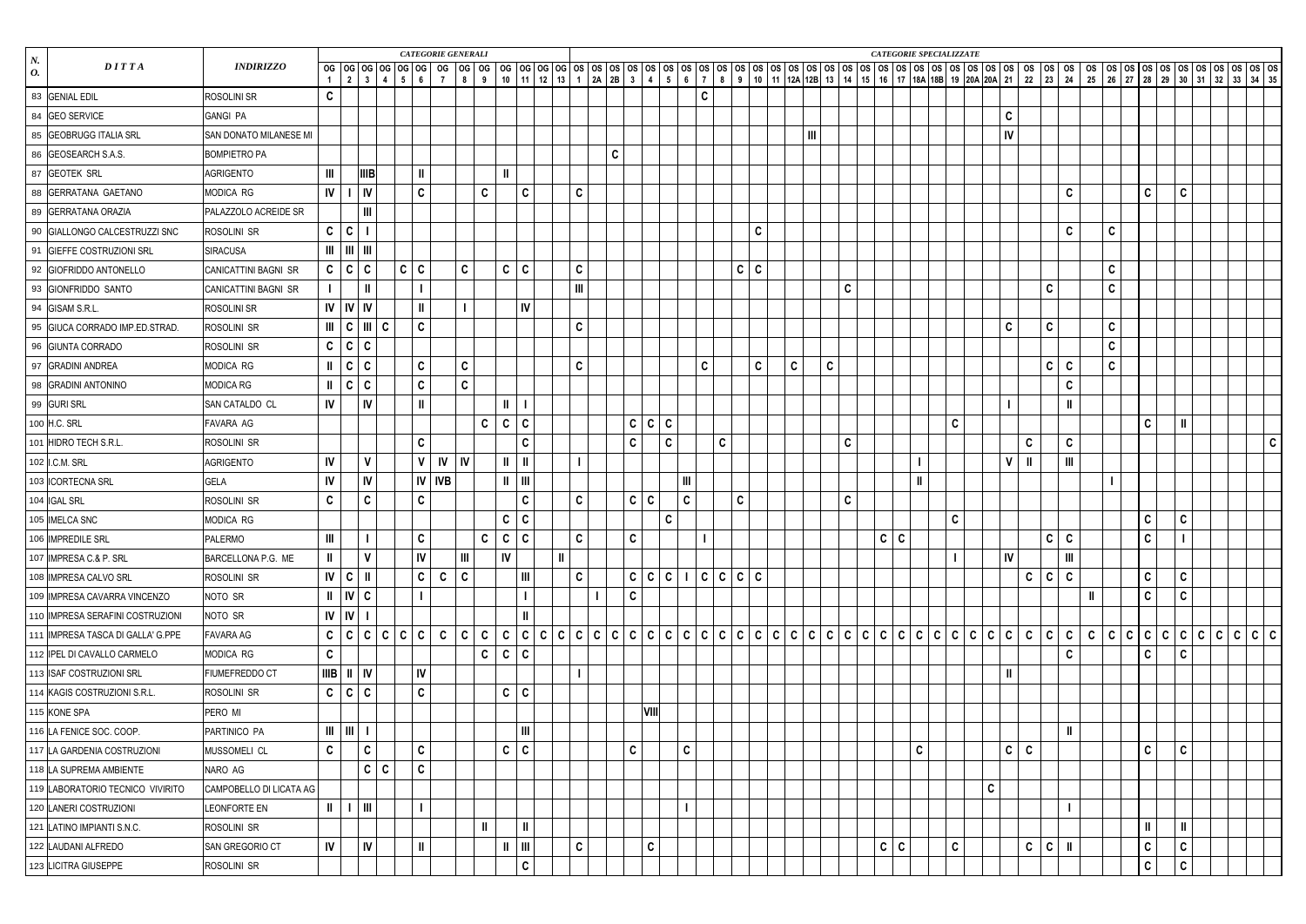|                                     |                         |                                            |                             |                                 |                        |                | <b>CATEGORIE GENERALI</b> |                             |       |                                                                                                             |                |             |              |              |                         |                |               |                                 |             |   |                |              |              |            | CATEGORIE SPECIALIZZATE |              |   |               |              |              |                |             |              |               |  |                                                     |              |
|-------------------------------------|-------------------------|--------------------------------------------|-----------------------------|---------------------------------|------------------------|----------------|---------------------------|-----------------------------|-------|-------------------------------------------------------------------------------------------------------------|----------------|-------------|--------------|--------------|-------------------------|----------------|---------------|---------------------------------|-------------|---|----------------|--------------|--------------|------------|-------------------------|--------------|---|---------------|--------------|--------------|----------------|-------------|--------------|---------------|--|-----------------------------------------------------|--------------|
| $N_{\cdot}$<br>DITTA<br>0.          | <b>INDIRIZZO</b>        | $\overline{1}$                             |                             | $2 \mid 3 \mid 4 \mid 5 \mid 6$ |                        | $\overline{7}$ | 89                        |                             |       | 10 11 22 3 4 3 4 3 5 4 5 6 7 8 9 10 11 22 28 12 12 20 20 20 20 21 22 23 24 25 26 27 28 29 30 31 32 33 34 35 |                |             |              |              |                         |                |               |                                 |             |   |                |              |              |            |                         |              |   |               |              |              |                |             |              |               |  |                                                     |              |
| 83 GENIAL EDIL                      | <b>ROSOLINI SR</b>      | $\mathbf c$                                |                             |                                 |                        |                |                           |                             |       |                                                                                                             |                |             |              |              |                         |                | $\mathbf{C}$  |                                 |             |   |                |              |              |            |                         |              |   |               |              |              |                |             |              |               |  |                                                     |              |
| 84 GEO SERVICE                      | <b>GANGI PA</b>         |                                            |                             |                                 |                        |                |                           |                             |       |                                                                                                             |                |             |              |              |                         |                |               |                                 |             |   |                |              |              |            |                         |              |   | $\mathbf{C}$  |              |              |                |             |              |               |  |                                                     |              |
| 85 GEOBRUGG ITALIA SRL              | SAN DONATO MILANESE MI  |                                            |                             |                                 |                        |                |                           |                             |       |                                                                                                             |                |             |              |              |                         |                |               |                                 |             |   | $\mathbf{III}$ |              |              |            |                         |              |   | ${\sf IV}$    |              |              |                |             |              |               |  |                                                     |              |
| 86 GEOSEARCH S.A.S.                 | <b>BOMPIETRO PA</b>     |                                            |                             |                                 |                        |                |                           |                             |       |                                                                                                             |                | $\mathbf c$ |              |              |                         |                |               |                                 |             |   |                |              |              |            |                         |              |   |               |              |              |                |             |              |               |  |                                                     |              |
| 87 GEOTEK SRL                       | <b>AGRIGENTO</b>        | Ш                                          |                             | <b>IIIB</b>                     | $\mathbf l$            |                |                           |                             |       |                                                                                                             |                |             |              |              |                         |                |               |                                 |             |   |                |              |              |            |                         |              |   |               |              |              |                |             |              |               |  |                                                     |              |
| 88 GERRATANA GAETANO                | MODICA RG               | IV.                                        |                             | $\vert$ IV                      | $\mathbf c$            |                | C                         |                             |       | $\mathbf{C}$                                                                                                | C              |             |              |              |                         |                |               |                                 |             |   |                |              |              |            |                         |              |   |               |              |              | $\mathbf c$    |             | $\mathbf{C}$ | $\mathbf{C}$  |  |                                                     |              |
| 89 GERRATANA ORAZIA                 | PALAZZOLO ACREIDE SR    |                                            |                             | $\mathbf{III}$                  |                        |                |                           |                             |       |                                                                                                             |                |             |              |              |                         |                |               |                                 |             |   |                |              |              |            |                         |              |   |               |              |              |                |             |              |               |  |                                                     |              |
| 90 GIALLONGO CALCESTRUZZI SNC       | ROSOLINI SR             | $\mathbf{C}$                               | $\mathsf{C}$                |                                 |                        |                |                           |                             |       |                                                                                                             |                |             |              |              |                         |                |               |                                 | $\mathbf C$ |   |                |              |              |            |                         |              |   |               |              |              | $\mathbf C$    | $\mathbf c$ |              |               |  |                                                     |              |
| 91 GIEFFE COSTRUZIONI SRL           | <b>SIRACUSA</b>         | $\mathbf{m}$   $\mathbf{m}$   $\mathbf{m}$ |                             |                                 |                        |                |                           |                             |       |                                                                                                             |                |             |              |              |                         |                |               |                                 |             |   |                |              |              |            |                         |              |   |               |              |              |                |             |              |               |  |                                                     |              |
| 92 GIOFRIDDO ANTONELLO              | CANICATTINI BAGNI SR    |                                            | C   C   C                   |                                 | $c \mid c$             |                | $\mathbf{C}$              | $\mathbf c$                 |       | $\mathbf{C}$                                                                                                | C              |             |              |              |                         |                |               |                                 | $c \mid c$  |   |                |              |              |            |                         |              |   |               |              |              |                | $\mathbf c$ |              |               |  |                                                     |              |
| 93 GIONFRIDDO SANTO                 | CANICATTINI BAGNI SR    |                                            |                             |                                 |                        |                |                           |                             |       |                                                                                                             | $\mathbf{III}$ |             |              |              |                         |                |               |                                 |             |   |                |              | $\mathbf{C}$ |            |                         |              |   |               |              | C            |                | $\mathbf c$ |              |               |  |                                                     |              |
| 94 GISAM S.R.L.                     | <b>ROSOLINI SR</b>      |                                            | $IV$ $IV$ $IV$              |                                 | Ш                      |                |                           |                             |       | IV                                                                                                          |                |             |              |              |                         |                |               |                                 |             |   |                |              |              |            |                         |              |   |               |              |              |                |             |              |               |  |                                                     |              |
| 95 GIUCA CORRADO IMP.ED.STRAD.      | ROSOLINI SR             |                                            |                             | III   C   III   C               | $\mathbf{C}$           |                |                           |                             |       |                                                                                                             | C              |             |              |              |                         |                |               |                                 |             |   |                |              |              |            |                         |              |   | $\mathbf C$   |              | C            |                | $\mathbf c$ |              |               |  |                                                     |              |
| 96 GIUNTA CORRADO                   | ROSOLINI SR             | C   C                                      |                             | $\mathbf c$                     |                        |                |                           |                             |       |                                                                                                             |                |             |              |              |                         |                |               |                                 |             |   |                |              |              |            |                         |              |   |               |              |              |                | $\mathbf c$ |              |               |  |                                                     |              |
| 97 GRADINI ANDREA                   | MODICA RG               | $\mathbf{I}$                               | c                           | $\mathbf c$                     | $\mathbf c$            |                | $\mathbf{C}$              |                             |       |                                                                                                             | C              |             |              |              |                         |                | $\mathbf{C}$  |                                 | $\mathbf c$ | C |                | $\mathbf{C}$ |              |            |                         |              |   |               |              | $\mathbf{C}$ | $\mathbf c$    | $\mathbf c$ |              |               |  |                                                     |              |
| 98 GRADINI ANTONINO                 | MODICA RG               | $\mathbf{II}$                              | c                           | $\mathbf c$                     | $\mathbf c$            |                | $\mathbf{C}$              |                             |       |                                                                                                             |                |             |              |              |                         |                |               |                                 |             |   |                |              |              |            |                         |              |   |               |              |              | $\mathbf c$    |             |              |               |  |                                                     |              |
| 99 GURI SRL                         | SAN CATALDO CL          | IV                                         |                             | IV                              | Ш                      |                |                           |                             |       |                                                                                                             |                |             |              |              |                         |                |               |                                 |             |   |                |              |              |            |                         |              |   |               |              |              | $\mathbf{I}$   |             |              |               |  |                                                     |              |
| 100 H.C. SRL                        | FAVARA AG               |                                            |                             |                                 |                        |                |                           | $\mathbf c$<br>$\mathbf{C}$ |       | $\mathbf c$                                                                                                 |                |             | C C          |              | $\overline{\mathsf{C}}$ |                |               |                                 |             |   |                |              |              |            |                         | C            |   |               |              |              |                |             | $\mathbf{C}$ | $\mathbf{II}$ |  |                                                     |              |
| 101 HIDRO TECH S.R.L.               | ROSOLINI SR             |                                            |                             |                                 | $\mathbf c$            |                |                           |                             |       | $\mathbf{C}$                                                                                                |                |             | $\mathbf{C}$ |              | $\mathsf{C}$            |                |               | $\mathbf C$                     |             |   |                |              | $\mathbf{C}$ |            |                         |              |   |               | C            |              | $\mathbf C$    |             |              |               |  |                                                     | $\mathbf{C}$ |
| 102 I.C.M. SRL                      | <b>AGRIGENTO</b>        | IV                                         |                             | $\mathbf v$                     | $\mathsf{V}$           | IV             | <b>IV</b>                 |                             |       | $\mathbf{I}$                                                                                                |                |             |              |              |                         |                |               |                                 |             |   |                |              |              |            |                         |              |   | $\mathsf{V}$  |              |              | III            |             |              |               |  |                                                     |              |
| 103 CORTECNA SRL                    | <b>GELA</b>             | IV                                         |                             | IV                              |                        | $IV$ $IVB$     |                           | H                           |       | $\mathbf{m}$                                                                                                |                |             |              |              |                         | $\mathbf{III}$ |               |                                 |             |   |                |              |              |            |                         |              |   |               |              |              |                |             |              |               |  |                                                     |              |
| 104 IGAL SRL                        | ROSOLINI SR             | $\mathbf c$                                |                             | $\mathbf c$                     | $\mathbf c$            |                |                           |                             |       | $\mathbf c$                                                                                                 | C              |             | C C          |              |                         | $\mathbf c$    |               | $\mathbf C$                     |             |   |                |              | $\mathbf{C}$ |            |                         |              |   |               |              |              |                |             |              |               |  |                                                     |              |
| 105 IMELCA SNC                      | MODICA RG               |                                            |                             |                                 |                        |                |                           | $\mathbf c$                 |       | C                                                                                                           |                |             |              |              | $\mathsf{C}$            |                |               |                                 |             |   |                |              |              |            |                         | C            |   |               |              |              |                |             | $\mathbf{C}$ | $\mathbf{C}$  |  |                                                     |              |
| 106   IMPREDILE SRL                 | <b>PALERMO</b>          | $\mathbf{m}$                               |                             | $\mathbf{L}$                    | $\mathbf C$            |                |                           | c   c   c                   |       |                                                                                                             | $\mathsf{C}$   |             | $\mathbf C$  |              |                         |                | $\vert \vert$ |                                 |             |   |                |              |              | $c \mid c$ |                         |              |   |               |              | $c \mid c$   |                |             | $\mathsf{C}$ | $\vert \vert$ |  |                                                     |              |
| 107 IMPRESA C.& P. SRL              | BARCELLONA P.G. ME      | $\mathbf{I}$                               |                             | $\mathbf{V}$                    | $\mathsf{I}\mathsf{V}$ |                | $\mathbf{III}$            | IV                          |       | $\mathbf{II}$                                                                                               |                |             |              |              |                         |                |               |                                 |             |   |                |              |              |            |                         |              |   | $\mathsf{IV}$ |              |              | $\mathbf{III}$ |             |              |               |  |                                                     |              |
| 108 IMPRESA CALVO SRL               | ROSOLINI SR             | V C                                        |                             |                                 | $\mathsf{C}$           | $\mathbf{C}$   | $\mathbf{c}$              |                             |       | Ш                                                                                                           | C              |             |              |              |                         |                |               | $C   C   C   I   C   C   C   C$ |             |   |                |              |              |            |                         |              |   |               |              | c   c        | $\mathbf c$    |             | $\mathbf{C}$ | $\mathbf{C}$  |  |                                                     |              |
| 109 IMPRESA CAVARRA VINCENZO        | NOTO SR                 |                                            | $II$ $IV$ $C$               |                                 |                        |                |                           |                             |       |                                                                                                             |                |             | $\mathbf{C}$ |              |                         |                |               |                                 |             |   |                |              |              |            |                         |              |   |               |              |              |                |             | $\mathsf{C}$ | $\mathbf{C}$  |  |                                                     |              |
| 110 IMPRESA SERAFINI COSTRUZIONI    | NOTO SR                 |                                            | $IV$ $IV$                   |                                 |                        |                |                           |                             |       | $\mathbf{H}$                                                                                                |                |             |              |              |                         |                |               |                                 |             |   |                |              |              |            |                         |              |   |               |              |              |                |             |              |               |  |                                                     |              |
| 111   IMPRESA TASCA DI GALLA' G.PPE | FAVARA AG               |                                            |                             | C   C   C   C                   | C   C                  | $\mathbf{C}$   | c c                       | $\mathbf c$                 |       | C C C                                                                                                       |                |             |              |              |                         |                |               |                                 |             |   |                |              |              |            |                         |              |   |               |              | $\mathbf{C}$ | $\mathbf{c}$   |             |              |               |  | $C   C   C   C   C   C   C   C   C   C   C   C   C$ |              |
| 112 IPEL DI CAVALLO CARMELO         | MODICA RG               | $\mathbf{C}$                               |                             |                                 |                        |                |                           | $\mathbf{C}$                | C   C |                                                                                                             |                |             |              |              |                         |                |               |                                 |             |   |                |              |              |            |                         |              |   |               |              |              | $\mathbf c$    |             | $\mathbf{C}$ | $\mathbf{C}$  |  |                                                     |              |
| 113 ISAF COSTRUZIONI SRL            | FIUMEFREDDO CT          | $IIIB$ $II$ $IV$                           |                             |                                 | $\mathsf{I}\mathsf{V}$ |                |                           |                             |       |                                                                                                             |                |             |              |              |                         |                |               |                                 |             |   |                |              |              |            |                         |              |   | $\mathbf{I}$  |              |              |                |             |              |               |  |                                                     |              |
| 114 KAGIS COSTRUZIONI S.R.L.        | ROSOLINI SR             |                                            | C   C   C                   |                                 | $\mathbf c$            |                |                           | $\mathbf c$                 |       | $\mid$ C                                                                                                    |                |             |              |              |                         |                |               |                                 |             |   |                |              |              |            |                         |              |   |               |              |              |                |             |              |               |  |                                                     |              |
| 115 KONE SPA                        | PERO MI                 |                                            |                             |                                 |                        |                |                           |                             |       |                                                                                                             |                |             |              | <b>VIII</b>  |                         |                |               |                                 |             |   |                |              |              |            |                         |              |   |               |              |              |                |             |              |               |  |                                                     |              |
| 116 LA FENICE SOC. COOP.            | PARTINICO PA            |                                            | $\mathbf{m}$   $\mathbf{m}$ |                                 |                        |                |                           |                             |       | Ш                                                                                                           |                |             |              |              |                         |                |               |                                 |             |   |                |              |              |            |                         |              |   |               |              |              | $\mathbf{I}$   |             |              |               |  |                                                     |              |
| 117 LA GARDENIA COSTRUZIONI         | MUSSOMELI CL            | $\mathbf{C}$                               |                             | C                               | $\mathbf c$            |                |                           | $\mathbf c$                 |       | $\mathbf{C}$                                                                                                |                |             | $\mathbf{C}$ |              |                         | $\mathbf{C}$   |               |                                 |             |   |                |              |              |            | $\mathbf c$             |              |   | $\mathbf{C}$  | C            |              |                |             | $\mathbf{C}$ | $\mathbf{C}$  |  |                                                     |              |
| 118 LA SUPREMA AMBIENTE             | NARO AG                 |                                            |                             | C C                             | $\mathbf c$            |                |                           |                             |       |                                                                                                             |                |             |              |              |                         |                |               |                                 |             |   |                |              |              |            |                         |              |   |               |              |              |                |             |              |               |  |                                                     |              |
| 119 LABORATORIO TECNICO VIVIRITO    | CAMPOBELLO DI LICATA AG |                                            |                             |                                 |                        |                |                           |                             |       |                                                                                                             |                |             |              |              |                         |                |               |                                 |             |   |                |              |              |            |                         |              | C |               |              |              |                |             |              |               |  |                                                     |              |
| 120 LANERI COSTRUZIONI              | LEONFORTE EN            | $\mathbf{II}$                              | $\perp$   III               |                                 |                        |                |                           |                             |       |                                                                                                             |                |             |              |              |                         |                |               |                                 |             |   |                |              |              |            |                         |              |   |               |              |              |                |             |              |               |  |                                                     |              |
| 121 LATINO IMPIANTI S.N.C.          | ROSOLINI SR             |                                            |                             |                                 |                        |                | $\mathbf{I}$              |                             |       | $\mathbf{II}$                                                                                               |                |             |              |              |                         |                |               |                                 |             |   |                |              |              |            |                         |              |   |               |              |              |                |             | $\parallel$  | $\ $          |  |                                                     |              |
| 122 LAUDANI ALFREDO                 | SAN GREGORIO CT         | IV                                         |                             | IV                              | $\mathbf{I}$           |                |                           | Ш                           |       | Ш                                                                                                           | C              |             |              | $\mathbf{C}$ |                         |                |               |                                 |             |   |                |              |              | $C \mid C$ |                         | $\mathbf{C}$ |   |               | $\mathbf{C}$ | $\mathbf{C}$ | $\mathbf{I}$   |             | $\mathbf{C}$ | $\mathbf{C}$  |  |                                                     |              |
| 123 LICITRA GIUSEPPE                | ROSOLINI SR             |                                            |                             |                                 |                        |                |                           |                             |       | $\mathbf{C}$                                                                                                |                |             |              |              |                         |                |               |                                 |             |   |                |              |              |            |                         |              |   |               |              |              |                |             | $\mathbf{C}$ | $\mathbf{C}$  |  |                                                     |              |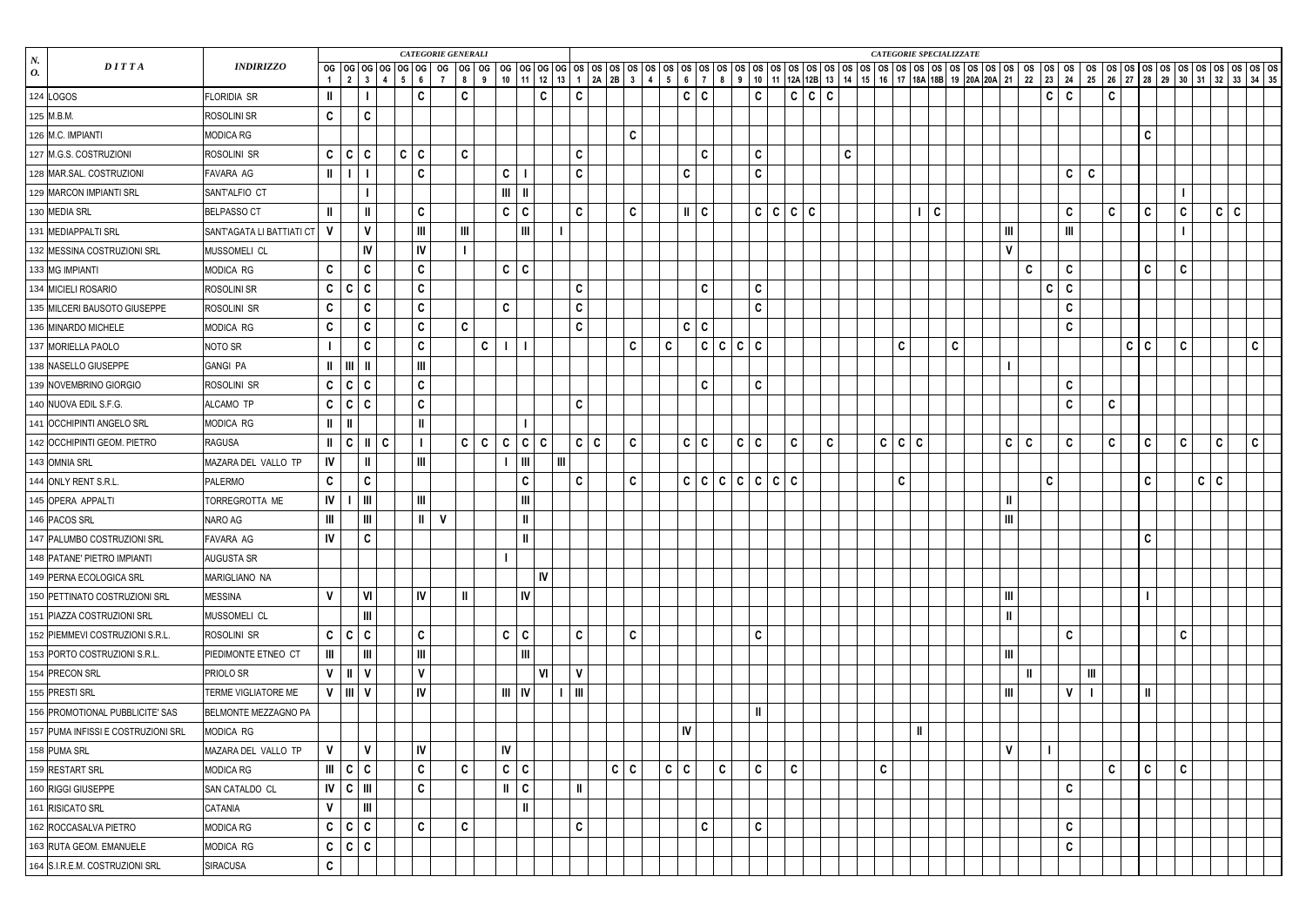| $N_{\rm c}$                        |                           |               |                     |                |              | <b>CATEGORIE GENERALI</b> |              |                |              |                |                |               |                |                   |            |              |              |                        |              |             |                                 |             |   |       |              |   |              |              |              | <b>CATEGORIE SPECIALIZZATE</b> |                |             |              |                |              |              |       |              |              |             |              |  |
|------------------------------------|---------------------------|---------------|---------------------|----------------|--------------|---------------------------|--------------|----------------|--------------|----------------|----------------|---------------|----------------|-------------------|------------|--------------|--------------|------------------------|--------------|-------------|---------------------------------|-------------|---|-------|--------------|---|--------------|--------------|--------------|--------------------------------|----------------|-------------|--------------|----------------|--------------|--------------|-------|--------------|--------------|-------------|--------------|--|
| DITTA<br>0.                        | <b>INDIRIZZO</b>          |               |                     |                |              |                           |              |                |              |                |                |               |                |                   |            |              |              |                        |              |             |                                 |             |   |       |              |   |              |              |              |                                |                |             |              |                |              |              |       |              |              |             |              |  |
| 124 LOGOS                          | FLORIDIA SR               | $\mathbf{I}$  |                     |                |              | $\mathbf c$               |              | $\mathbf{C}$   |              |                |                | $\mathbf{C}$  |                | C                 |            |              |              |                        | C C          |             |                                 | C           |   | C C C |              |   |              |              |              |                                |                |             | $\mathsf{C}$ | $\mathbf c$    |              | $\mathbf c$  |       |              |              |             |              |  |
| 125 M.B.M.                         | ROSOLINI SR               | $\mathbf c$   |                     | $\mathbf{C}$   |              |                           |              |                |              |                |                |               |                |                   |            |              |              |                        |              |             |                                 |             |   |       |              |   |              |              |              |                                |                |             |              |                |              |              |       |              |              |             |              |  |
| 126 M.C. IMPIANTI                  | MODICA RG                 |               |                     |                |              |                           |              |                |              |                |                |               |                |                   |            | $\mathbf{C}$ |              |                        |              |             |                                 |             |   |       |              |   |              |              |              |                                |                |             |              |                |              |              |       | $\mathbf c$  |              |             |              |  |
| 127 M.G.S. COSTRUZIONI             | ROSOLINI SR               |               | C   C   C           |                | $\mathsf{C}$ | $\mid$ C                  |              | $\mathbf{C}$   |              |                |                |               |                | C                 |            |              |              |                        | $\mathbf{C}$ |             |                                 | $\mathbf c$ |   |       |              | C |              |              |              |                                |                |             |              |                |              |              |       |              |              |             |              |  |
| 128 MAR.SAL. COSTRUZIONI           | FAVARA AG                 | $\mathbf{I}$  |                     |                |              | $\mathbf c$               |              |                |              | $\mathbf{C}$   |                |               |                | C                 |            |              |              | $\mathbf{C}$           |              |             |                                 | $\mathbf c$ |   |       |              |   |              |              |              |                                |                |             |              | $\mathbf c$    | C            |              |       |              |              |             |              |  |
| 129 MARCON IMPIANTI SRL            | SANT'ALFIO CT             |               |                     |                |              |                           |              |                |              | $\mathbf{III}$ | $\parallel$ II |               |                |                   |            |              |              |                        |              |             |                                 |             |   |       |              |   |              |              |              |                                |                |             |              |                |              |              |       |              |              |             |              |  |
| 130 MEDIA SRL                      | <b>BELPASSO CT</b>        | H             |                     |                |              | $\mathbf c$               |              |                |              | $\mathbf c$    | $\mathbf{C}$   |               |                | C                 |            | $\mathbf{C}$ |              | $\parallel$            | $\mathbf{C}$ |             |                                 | C C C C     |   |       |              |   |              |              | $\mathbf{C}$ |                                |                |             |              | $\mathbf c$    |              | $\mathbf c$  |       | $\mathbf{C}$ | $\mathbf{C}$ | $c \mid c$  |              |  |
| 131 MEDIAPPALTI SRL                | SANT'AGATA LI BATTIATI CT | $\mathsf{V}$  |                     | $\mathbf{v}$   |              | $\mathbf{III}$            |              | $\mathbf{III}$ |              |                | $\mathbf{I}$   |               |                |                   |            |              |              |                        |              |             |                                 |             |   |       |              |   |              |              |              |                                | $\mathbf{III}$ |             |              | $\mathbf{III}$ |              |              |       |              |              |             |              |  |
| 132 MESSINA COSTRUZIONI SRL        | MUSSOMELI CL              |               |                     | IV             |              | IV                        |              |                |              |                |                |               |                |                   |            |              |              |                        |              |             |                                 |             |   |       |              |   |              |              |              |                                | $\mathbf{V}$   |             |              |                |              |              |       |              |              |             |              |  |
| 133 MG IMPIANTI                    | MODICA RG                 | $\mathbf c$   |                     | $\mathbf c$    |              | $\mathbf c$               |              |                |              | $\mathbf c$    | c              |               |                |                   |            |              |              |                        |              |             |                                 |             |   |       |              |   |              |              |              |                                |                | $\mathbf c$ |              | $\mathbf c$    |              |              |       | $\mathbf{C}$ | $\mathbf{C}$ |             |              |  |
| 134 MICIELI ROSARIO                | ROSOLINI SR               | $\mathbf{C}$  | C                   | $\mathbf c$    |              | $\mathbf c$               |              |                |              |                |                |               |                | C                 |            |              |              |                        | $\mathbf{C}$ |             |                                 | $\mathbf c$ |   |       |              |   |              |              |              |                                |                |             | C            | $\mathbf c$    |              |              |       |              |              |             |              |  |
| 135 MILCERI BAUSOTO GIUSEPPE       | ROSOLINI SR               | C             |                     | C              |              | $\mathbf c$               |              |                |              | $\mathbf c$    |                |               |                | $\mathbf{C}$      |            |              |              |                        |              |             |                                 | $\mathbf c$ |   |       |              |   |              |              |              |                                |                |             |              | $\mathbf c$    |              |              |       |              |              |             |              |  |
| 136 MINARDO MICHELE                | MODICA RG                 | $\mathbf c$   |                     | C              |              | $\mathbf c$               |              | $\mathbf{C}$   |              |                |                |               |                | $\mathbf{C}$      |            |              |              |                        | $c \mid c$   |             |                                 |             |   |       |              |   |              |              |              |                                |                |             |              | $\mathbf c$    |              |              |       |              |              |             |              |  |
| 137 MORIELLA PAOLO                 | NOTO SR                   |               |                     | $\mathbf c$    |              | $\mathbf c$               |              |                | $\mathbf{C}$ |                |                |               |                |                   |            | $\mathbf{C}$ | $\mathbf{C}$ |                        |              |             | C C C C                         |             |   |       |              |   | $\mathbf{C}$ |              |              | $\mathbf{C}$                   |                |             |              |                |              |              | C   C |              | C            |             | $\mathbf{C}$ |  |
| 138 NASELLO GIUSEPPE               | <b>GANGI PA</b>           | $\mathbf{I}$  | $\vert$ III $\vert$ |                |              | $\mathbf{III}$            |              |                |              |                |                |               |                |                   |            |              |              |                        |              |             |                                 |             |   |       |              |   |              |              |              |                                |                |             |              |                |              |              |       |              |              |             |              |  |
| 139 NOVEMBRINO GIORGIO             | ROSOLINI SR               | $\mathbf{C}$  | C                   | $\mathbf c$    |              | $\mathbf c$               |              |                |              |                |                |               |                |                   |            |              |              |                        | $\mathbf{C}$ |             |                                 | $\mathbf c$ |   |       |              |   |              |              |              |                                |                |             |              | $\mathbf c$    |              |              |       |              |              |             |              |  |
| 140 NUOVA EDIL S.F.G.              | ALCAMO TP                 |               | C   C   C           |                |              | $\mathbf c$               |              |                |              |                |                |               |                | C                 |            |              |              |                        |              |             |                                 |             |   |       |              |   |              |              |              |                                |                |             |              | $\mathbf c$    |              | $\mathbf{C}$ |       |              |              |             |              |  |
| 141 OCCHIPINTI ANGELO SRL          | MODICA RG                 | $\mathbf{I}$  |                     |                |              | Ш                         |              |                |              |                |                |               |                |                   |            |              |              |                        |              |             |                                 |             |   |       |              |   |              |              |              |                                |                |             |              |                |              |              |       |              |              |             |              |  |
| 142 OCCHIPINTI GEOM. PIETRO        | <b>RAGUSA</b>             | $\mathbf{I}$  | C                   |                | C            |                           |              | $\mathsf{C}$   | $\mathbf{C}$ | $\mathbf c$    |                | C C           |                | $\mathbf{C}$<br>C |            | $\mathbf{C}$ |              |                        | C C          |             | C C                             |             | C |       | $\mathbf{C}$ |   |              | C C C        |              |                                | $\mathbf{C}$   | C           |              | $\mathbf c$    |              | $\mathbf c$  |       | $\mathbf{C}$ | $\mathbf{c}$ | $\mathbf c$ | $\mathbf{C}$ |  |
| 143 OMNIA SRL                      | MAZARA DEL VALLO TP       | IV            |                     |                |              | $\mathbf{III}$            |              |                |              |                | Ш              |               | $\mathbf{III}$ |                   |            |              |              |                        |              |             |                                 |             |   |       |              |   |              |              |              |                                |                |             |              |                |              |              |       |              |              |             |              |  |
| 144 ONLY RENT S.R.L.               | PALERMO                   | $\mathbf c$   |                     | $\mathbf{c}$   |              |                           |              |                |              |                | $\mathbf{C}$   |               |                | C                 |            | $\mathbf{C}$ |              |                        |              |             | $C   C   C   C   C   C   C   C$ |             |   |       |              |   | $\mathbf c$  |              |              |                                |                |             | C            |                |              |              |       | $\mathbf{C}$ |              | $c \mid c$  |              |  |
| 145 OPERA APPALTI                  | TORREGROTTA ME            | IV            |                     | $\mathbf{m}$   |              | $\mathbf{III}$            |              |                |              |                | III            |               |                |                   |            |              |              |                        |              |             |                                 |             |   |       |              |   |              |              |              |                                | $\ $           |             |              |                |              |              |       |              |              |             |              |  |
| 146 PACOS SRL                      | NARO AG                   | Ш             |                     |                |              | Ш                         | $\mathsf{V}$ |                |              |                | $\mathbf{II}$  |               |                |                   |            |              |              |                        |              |             |                                 |             |   |       |              |   |              |              |              |                                | $\mathbf{III}$ |             |              |                |              |              |       |              |              |             |              |  |
| 147 PALUMBO COSTRUZIONI SRL        | FAVARA AG                 | $\mathsf{IV}$ |                     | $\mathbf{C}$   |              |                           |              |                |              |                |                | $\mathbf{II}$ |                |                   |            |              |              |                        |              |             |                                 |             |   |       |              |   |              |              |              |                                |                |             |              |                |              |              |       | $\sim$<br>◡  |              |             |              |  |
| 148 PATANE' PIETRO IMPIANTI        | AUGUSTA SR                |               |                     |                |              |                           |              |                |              |                |                |               |                |                   |            |              |              |                        |              |             |                                 |             |   |       |              |   |              |              |              |                                |                |             |              |                |              |              |       |              |              |             |              |  |
| 149 PERNA ECOLOGICA SRL            | MARIGLIANO NA             |               |                     |                |              |                           |              |                |              |                |                | V             |                |                   |            |              |              |                        |              |             |                                 |             |   |       |              |   |              |              |              |                                |                |             |              |                |              |              |       |              |              |             |              |  |
| 150 PETTINATO COSTRUZIONI SRL      | <b>MESSINA</b>            | $\mathbf{V}$  |                     | VI             |              | <b>IV</b>                 |              | $\parallel$    |              |                | $\mathsf{IV}$  |               |                |                   |            |              |              |                        |              |             |                                 |             |   |       |              |   |              |              |              |                                | $\mathbf{III}$ |             |              |                |              |              |       |              |              |             |              |  |
| 151 PIAZZA COSTRUZIONI SRL         | MUSSOMELI CL              |               |                     | $\mathbf{III}$ |              |                           |              |                |              |                |                |               |                |                   |            |              |              |                        |              |             |                                 |             |   |       |              |   |              |              |              |                                | $\mathbf{I}$   |             |              |                |              |              |       |              |              |             |              |  |
| 152 PIEMMEVI COSTRUZIONI S.R.L.    | ROSOLINI SR               |               | C   C   C           |                |              | $\mathbf c$               |              |                |              | $\mathbf c$    | $\mathbf{C}$   |               |                | C                 |            | $\mathbf{C}$ |              |                        |              |             |                                 | $\mathbf C$ |   |       |              |   |              |              |              |                                |                |             |              | $\mathbf c$    |              |              |       |              | $\mathbf{C}$ |             |              |  |
| 153 PORTO COSTRUZIONI S.R.L.       | PIEDIMONTE ETNEO CT       | Ш             |                     | $\mathbf{III}$ |              | $\mathbf{III}$            |              |                |              |                | Ш              |               |                |                   |            |              |              |                        |              |             |                                 |             |   |       |              |   |              |              |              |                                | $\mathbf{III}$ |             |              |                |              |              |       |              |              |             |              |  |
| 154 PRECON SRL                     | <b>PRIOLO SR</b>          | $\mathsf{V}$  |                     | $\mathbf{V}$   |              | $\mathbf{V}$              |              |                |              |                |                | VI            |                | V                 |            |              |              |                        |              |             |                                 |             |   |       |              |   |              |              |              |                                |                | Ш           |              |                | $\mathbf{m}$ |              |       |              |              |             |              |  |
| 155 PRESTI SRL                     | TERME VIGLIATORE ME       |               | $V$   $III$   $V$   |                |              | $\mathsf{I}\mathsf{V}$    |              |                |              |                | V              |               | ▏▎∭            |                   |            |              |              |                        |              |             |                                 |             |   |       |              |   |              |              |              |                                | $\mathbf{III}$ |             |              | $\mathbf{V}$   |              |              |       | H.           |              |             |              |  |
| 156 PROMOTIONAL PUBBLICITE' SAS    | BELMONTE MEZZAGNO PA      |               |                     |                |              |                           |              |                |              |                |                |               |                |                   |            |              |              |                        |              |             |                                 |             |   |       |              |   |              |              |              |                                |                |             |              |                |              |              |       |              |              |             |              |  |
| 157 PUMA INFISSI E COSTRUZIONI SRL | MODICA RG                 |               |                     |                |              |                           |              |                |              |                |                |               |                |                   |            |              |              | $\mathsf{I}\mathsf{V}$ |              |             |                                 |             |   |       |              |   |              | $\mathbf{I}$ |              |                                |                |             |              |                |              |              |       |              |              |             |              |  |
| 158 PUMA SRL                       | MAZARA DEL VALLO TP       | $\mathbf{V}$  |                     | $\mathbf{V}$   |              | IV                        |              |                |              | IV             |                |               |                |                   |            |              |              |                        |              |             |                                 |             |   |       |              |   |              |              |              |                                | $\mathbf{V}$   |             |              |                |              |              |       |              |              |             |              |  |
| 159 RESTART SRL                    | <b>MODICA RG</b>          |               | III   C             | C              |              | $\mathbf c$               |              | $\mathbf{C}$   |              | $\mathbf c$    | $\mathbf{C}$   |               |                |                   | $c \mid c$ |              |              | C   C                  |              | $\mathbf C$ |                                 | $\mathbf c$ | C |       |              |   | $\mathbf C$  |              |              |                                |                |             |              |                |              | $\mathbf c$  |       | $\mathbf{C}$ | $\mathbf{C}$ |             |              |  |
| 160 RIGGI GIUSEPPE                 | SAN CATALDO CL            |               | $IV$ $C$ $  $ $  $  |                |              | $\mathbf c$               |              |                |              | - II           | $\mathbf{C}$   |               |                | $\mathbf l$       |            |              |              |                        |              |             |                                 |             |   |       |              |   |              |              |              |                                |                |             |              | $\mathbf c$    |              |              |       |              |              |             |              |  |
| 161 RISICATO SRL                   | CATANIA                   | $\mathsf{V}$  |                     | Ш              |              |                           |              |                |              |                | $\mathbf{II}$  |               |                |                   |            |              |              |                        |              |             |                                 |             |   |       |              |   |              |              |              |                                |                |             |              |                |              |              |       |              |              |             |              |  |
| 162 ROCCASALVA PIETRO              | <b>MODICA RG</b>          |               | C   C   C           |                |              | $\mathbf{C}$              |              | $\mathbf{C}$   |              |                |                |               |                | $\mathbf{C}$      |            |              |              |                        | $\mathbf{C}$ |             |                                 | $\mathbf c$ |   |       |              |   |              |              |              |                                |                |             |              | $\mathbf c$    |              |              |       |              |              |             |              |  |
| 163 RUTA GEOM. EMANUELE            | MODICA RG                 | $\mathbf{C}$  |                     | C   C          |              |                           |              |                |              |                |                |               |                |                   |            |              |              |                        |              |             |                                 |             |   |       |              |   |              |              |              |                                |                |             |              | $\mathbf c$    |              |              |       |              |              |             |              |  |
| 164 S.I.R.E.M. COSTRUZIONI SRL     | SIRACUSA                  | $\mathbf{C}$  |                     |                |              |                           |              |                |              |                |                |               |                |                   |            |              |              |                        |              |             |                                 |             |   |       |              |   |              |              |              |                                |                |             |              |                |              |              |       |              |              |             |              |  |